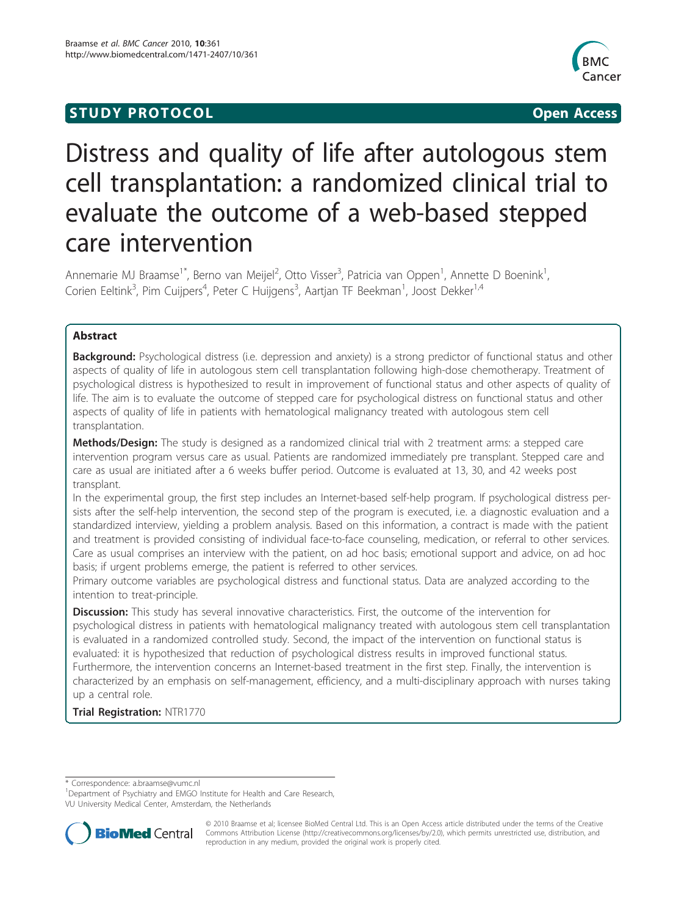# **STUDY PROTOCOL CONSUMING THE CONSUMING OPEN ACCESS**



# Distress and quality of life after autologous stem cell transplantation: a randomized clinical trial to evaluate the outcome of a web-based stepped care intervention

Annemarie MJ Braamse<sup>1\*</sup>, Berno van Meijel<sup>2</sup>, Otto Visser<sup>3</sup>, Patricia van Oppen<sup>1</sup>, Annette D Boenink<sup>1</sup> , Corien Eeltink<sup>3</sup>, Pim Cuijpers<sup>4</sup>, Peter C Huijgens<sup>3</sup>, Aartjan TF Beekman<sup>1</sup>, Joost Dekker<sup>1,4</sup>

# Abstract

Background: Psychological distress (i.e. depression and anxiety) is a strong predictor of functional status and other aspects of quality of life in autologous stem cell transplantation following high-dose chemotherapy. Treatment of psychological distress is hypothesized to result in improvement of functional status and other aspects of quality of life. The aim is to evaluate the outcome of stepped care for psychological distress on functional status and other aspects of quality of life in patients with hematological malignancy treated with autologous stem cell transplantation.

Methods/Design: The study is designed as a randomized clinical trial with 2 treatment arms: a stepped care intervention program versus care as usual. Patients are randomized immediately pre transplant. Stepped care and care as usual are initiated after a 6 weeks buffer period. Outcome is evaluated at 13, 30, and 42 weeks post transplant.

In the experimental group, the first step includes an Internet-based self-help program. If psychological distress persists after the self-help intervention, the second step of the program is executed, i.e. a diagnostic evaluation and a standardized interview, yielding a problem analysis. Based on this information, a contract is made with the patient and treatment is provided consisting of individual face-to-face counseling, medication, or referral to other services. Care as usual comprises an interview with the patient, on ad hoc basis; emotional support and advice, on ad hoc basis; if urgent problems emerge, the patient is referred to other services.

Primary outcome variables are psychological distress and functional status. Data are analyzed according to the intention to treat-principle.

**Discussion:** This study has several innovative characteristics. First, the outcome of the intervention for psychological distress in patients with hematological malignancy treated with autologous stem cell transplantation is evaluated in a randomized controlled study. Second, the impact of the intervention on functional status is evaluated: it is hypothesized that reduction of psychological distress results in improved functional status. Furthermore, the intervention concerns an Internet-based treatment in the first step. Finally, the intervention is characterized by an emphasis on self-management, efficiency, and a multi-disciplinary approach with nurses taking up a central role.

Trial Registration: NTR1770

\* Correspondence: [a.braamse@vumc.nl](mailto:a.braamse@vumc.nl)

<sup>1</sup>Department of Psychiatry and EMGO Institute for Health and Care Research, VU University Medical Center, Amsterdam, the Netherlands



© 2010 Braamse et al; licensee BioMed Central Ltd. This is an Open Access article distributed under the terms of the Creative Commons Attribution License [\(http://creativecommons.org/licenses/by/2.0](http://creativecommons.org/licenses/by/2.0)), which permits unrestricted use, distribution, and reproduction in any medium, provided the original work is properly cited.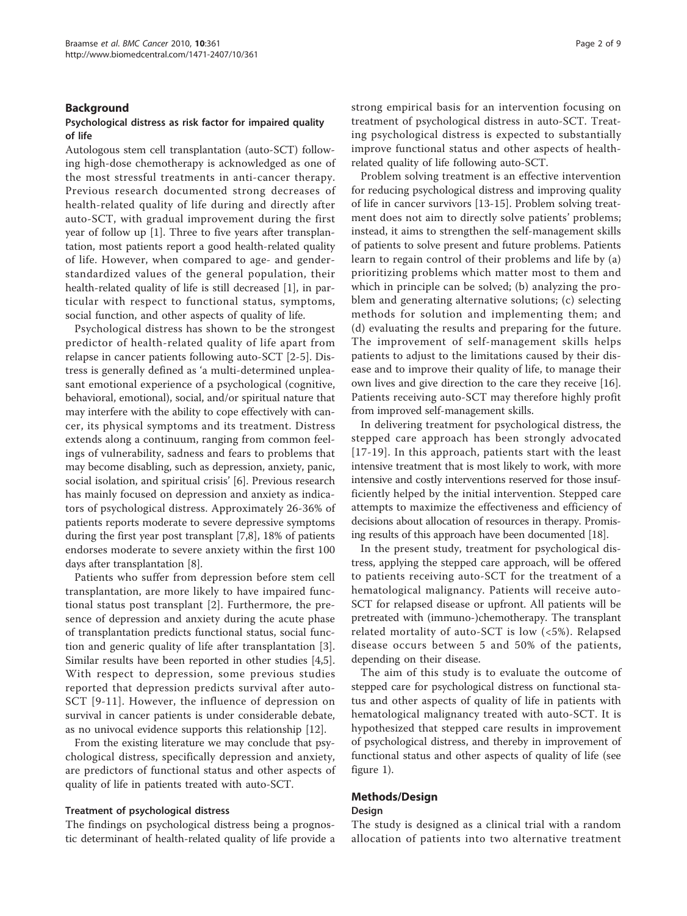#### Background

#### Psychological distress as risk factor for impaired quality of life

Autologous stem cell transplantation (auto-SCT) following high-dose chemotherapy is acknowledged as one of the most stressful treatments in anti-cancer therapy. Previous research documented strong decreases of health-related quality of life during and directly after auto-SCT, with gradual improvement during the first year of follow up [\[1](#page-7-0)]. Three to five years after transplantation, most patients report a good health-related quality of life. However, when compared to age- and genderstandardized values of the general population, their health-related quality of life is still decreased [[1\]](#page-7-0), in particular with respect to functional status, symptoms, social function, and other aspects of quality of life.

Psychological distress has shown to be the strongest predictor of health-related quality of life apart from relapse in cancer patients following auto-SCT [[2](#page-7-0)-[5](#page-7-0)]. Distress is generally defined as 'a multi-determined unpleasant emotional experience of a psychological (cognitive, behavioral, emotional), social, and/or spiritual nature that may interfere with the ability to cope effectively with cancer, its physical symptoms and its treatment. Distress extends along a continuum, ranging from common feelings of vulnerability, sadness and fears to problems that may become disabling, such as depression, anxiety, panic, social isolation, and spiritual crisis' [\[6](#page-7-0)]. Previous research has mainly focused on depression and anxiety as indicators of psychological distress. Approximately 26-36% of patients reports moderate to severe depressive symptoms during the first year post transplant [[7,8\]](#page-7-0), 18% of patients endorses moderate to severe anxiety within the first 100 days after transplantation [[8\]](#page-7-0).

Patients who suffer from depression before stem cell transplantation, are more likely to have impaired functional status post transplant [[2](#page-7-0)]. Furthermore, the presence of depression and anxiety during the acute phase of transplantation predicts functional status, social function and generic quality of life after transplantation [\[3](#page-7-0)]. Similar results have been reported in other studies [\[4,5](#page-7-0)]. With respect to depression, some previous studies reported that depression predicts survival after auto-SCT [[9](#page-7-0)-[11](#page-7-0)]. However, the influence of depression on survival in cancer patients is under considerable debate, as no univocal evidence supports this relationship [\[12\]](#page-7-0).

From the existing literature we may conclude that psychological distress, specifically depression and anxiety, are predictors of functional status and other aspects of quality of life in patients treated with auto-SCT.

#### Treatment of psychological distress

The findings on psychological distress being a prognostic determinant of health-related quality of life provide a strong empirical basis for an intervention focusing on treatment of psychological distress in auto-SCT. Treating psychological distress is expected to substantially improve functional status and other aspects of healthrelated quality of life following auto-SCT.

Problem solving treatment is an effective intervention for reducing psychological distress and improving quality of life in cancer survivors [[13-15](#page-7-0)]. Problem solving treatment does not aim to directly solve patients' problems; instead, it aims to strengthen the self-management skills of patients to solve present and future problems. Patients learn to regain control of their problems and life by (a) prioritizing problems which matter most to them and which in principle can be solved; (b) analyzing the problem and generating alternative solutions; (c) selecting methods for solution and implementing them; and (d) evaluating the results and preparing for the future. The improvement of self-management skills helps patients to adjust to the limitations caused by their disease and to improve their quality of life, to manage their own lives and give direction to the care they receive [\[16](#page-7-0)]. Patients receiving auto-SCT may therefore highly profit from improved self-management skills.

In delivering treatment for psychological distress, the stepped care approach has been strongly advocated [[17-19\]](#page-7-0). In this approach, patients start with the least intensive treatment that is most likely to work, with more intensive and costly interventions reserved for those insufficiently helped by the initial intervention. Stepped care attempts to maximize the effectiveness and efficiency of decisions about allocation of resources in therapy. Promising results of this approach have been documented [\[18\]](#page-7-0).

In the present study, treatment for psychological distress, applying the stepped care approach, will be offered to patients receiving auto-SCT for the treatment of a hematological malignancy. Patients will receive auto-SCT for relapsed disease or upfront. All patients will be pretreated with (immuno-)chemotherapy. The transplant related mortality of auto-SCT is low (<5%). Relapsed disease occurs between 5 and 50% of the patients, depending on their disease.

The aim of this study is to evaluate the outcome of stepped care for psychological distress on functional status and other aspects of quality of life in patients with hematological malignancy treated with auto-SCT. It is hypothesized that stepped care results in improvement of psychological distress, and thereby in improvement of functional status and other aspects of quality of life (see figure [1](#page-2-0)).

# Methods/Design

#### Design

The study is designed as a clinical trial with a random allocation of patients into two alternative treatment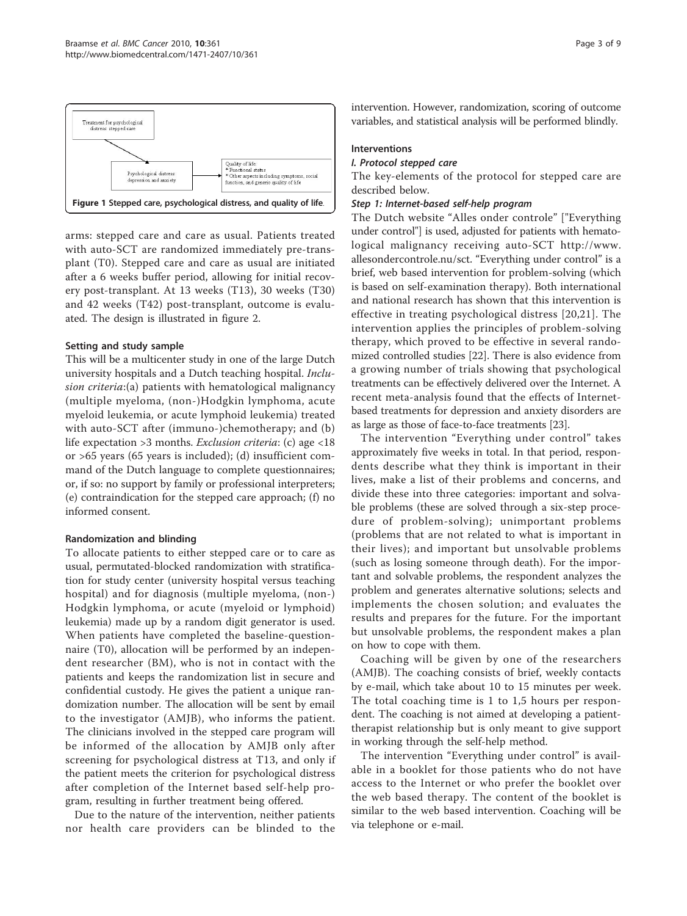<span id="page-2-0"></span>

arms: stepped care and care as usual. Patients treated with auto-SCT are randomized immediately pre-transplant (T0). Stepped care and care as usual are initiated after a 6 weeks buffer period, allowing for initial recovery post-transplant. At 13 weeks (T13), 30 weeks (T30) and 42 weeks (T42) post-transplant, outcome is evaluated. The design is illustrated in figure [2.](#page-3-0)

#### Setting and study sample

This will be a multicenter study in one of the large Dutch university hospitals and a Dutch teaching hospital. Inclusion criteria:(a) patients with hematological malignancy (multiple myeloma, (non-)Hodgkin lymphoma, acute myeloid leukemia, or acute lymphoid leukemia) treated with auto-SCT after (immuno-)chemotherapy; and (b) life expectation >3 months. Exclusion criteria: (c) age <18 or >65 years (65 years is included); (d) insufficient command of the Dutch language to complete questionnaires; or, if so: no support by family or professional interpreters; (e) contraindication for the stepped care approach; (f) no informed consent.

#### Randomization and blinding

To allocate patients to either stepped care or to care as usual, permutated-blocked randomization with stratification for study center (university hospital versus teaching hospital) and for diagnosis (multiple myeloma, (non-) Hodgkin lymphoma, or acute (myeloid or lymphoid) leukemia) made up by a random digit generator is used. When patients have completed the baseline-questionnaire (T0), allocation will be performed by an independent researcher (BM), who is not in contact with the patients and keeps the randomization list in secure and confidential custody. He gives the patient a unique randomization number. The allocation will be sent by email to the investigator (AMJB), who informs the patient. The clinicians involved in the stepped care program will be informed of the allocation by AMJB only after screening for psychological distress at T13, and only if the patient meets the criterion for psychological distress after completion of the Internet based self-help program, resulting in further treatment being offered.

Due to the nature of the intervention, neither patients nor health care providers can be blinded to the intervention. However, randomization, scoring of outcome variables, and statistical analysis will be performed blindly.

#### Interventions

#### I. Protocol stepped care

The key-elements of the protocol for stepped care are described below.

#### Step 1: Internet-based self-help program

The Dutch website "Alles onder controle" ["Everything under control"] is used, adjusted for patients with hematological malignancy receiving auto-SCT [http://www.](http://www.allesond�ercontrole.nu/sct) [allesondercontrole.nu/sct.](http://www.allesond�ercontrole.nu/sct) "Everything under control" is a brief, web based intervention for problem-solving (which is based on self-examination therapy). Both international and national research has shown that this intervention is effective in treating psychological distress [[20](#page-7-0),[21](#page-8-0)]. The intervention applies the principles of problem-solving therapy, which proved to be effective in several randomized controlled studies [\[22](#page-8-0)]. There is also evidence from a growing number of trials showing that psychological treatments can be effectively delivered over the Internet. A recent meta-analysis found that the effects of Internetbased treatments for depression and anxiety disorders are as large as those of face-to-face treatments [[23](#page-8-0)].

The intervention "Everything under control" takes approximately five weeks in total. In that period, respondents describe what they think is important in their lives, make a list of their problems and concerns, and divide these into three categories: important and solvable problems (these are solved through a six-step procedure of problem-solving); unimportant problems (problems that are not related to what is important in their lives); and important but unsolvable problems (such as losing someone through death). For the important and solvable problems, the respondent analyzes the problem and generates alternative solutions; selects and implements the chosen solution; and evaluates the results and prepares for the future. For the important but unsolvable problems, the respondent makes a plan on how to cope with them.

Coaching will be given by one of the researchers (AMJB). The coaching consists of brief, weekly contacts by e-mail, which take about 10 to 15 minutes per week. The total coaching time is 1 to 1,5 hours per respondent. The coaching is not aimed at developing a patienttherapist relationship but is only meant to give support in working through the self-help method.

The intervention "Everything under control" is available in a booklet for those patients who do not have access to the Internet or who prefer the booklet over the web based therapy. The content of the booklet is similar to the web based intervention. Coaching will be via telephone or e-mail.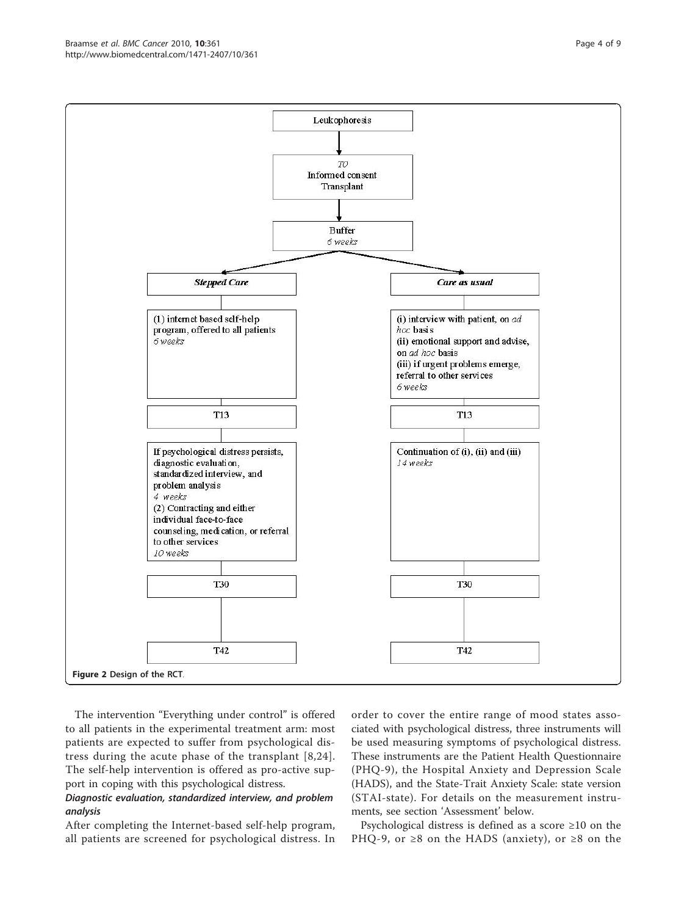The intervention "Everything under control" is offered to all patients in the experimental treatment arm: most patients are expected to suffer from psychological distress during the acute phase of the transplant [[8](#page-7-0),[24\]](#page-8-0). The self-help intervention is offered as pro-active support in coping with this psychological distress.

# Diagnostic evaluation, standardized interview, and problem analysis

After completing the Internet-based self-help program, all patients are screened for psychological distress. In order to cover the entire range of mood states associated with psychological distress, three instruments will be used measuring symptoms of psychological distress. These instruments are the Patient Health Questionnaire (PHQ-9), the Hospital Anxiety and Depression Scale (HADS), and the State-Trait Anxiety Scale: state version (STAI-state). For details on the measurement instruments, see section 'Assessment' below.

Psychological distress is defined as a score ≥10 on the PHQ-9, or ≥8 on the HADS (anxiety), or ≥8 on the

<span id="page-3-0"></span>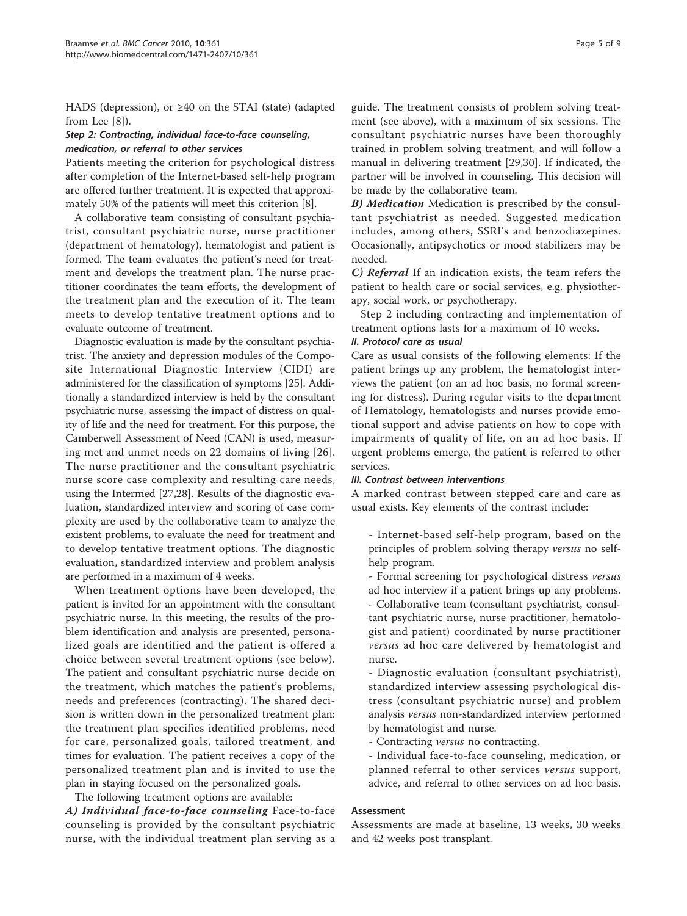HADS (depression), or ≥40 on the STAI (state) (adapted from Lee [\[8](#page-7-0)]).

# Step 2: Contracting, individual face-to-face counseling, medication, or referral to other services

Patients meeting the criterion for psychological distress after completion of the Internet-based self-help program are offered further treatment. It is expected that approximately 50% of the patients will meet this criterion [[8\]](#page-7-0).

A collaborative team consisting of consultant psychiatrist, consultant psychiatric nurse, nurse practitioner (department of hematology), hematologist and patient is formed. The team evaluates the patient's need for treatment and develops the treatment plan. The nurse practitioner coordinates the team efforts, the development of the treatment plan and the execution of it. The team meets to develop tentative treatment options and to evaluate outcome of treatment.

Diagnostic evaluation is made by the consultant psychiatrist. The anxiety and depression modules of the Composite International Diagnostic Interview (CIDI) are administered for the classification of symptoms [\[25\]](#page-8-0). Additionally a standardized interview is held by the consultant psychiatric nurse, assessing the impact of distress on quality of life and the need for treatment. For this purpose, the Camberwell Assessment of Need (CAN) is used, measuring met and unmet needs on 22 domains of living [[26](#page-8-0)]. The nurse practitioner and the consultant psychiatric nurse score case complexity and resulting care needs, using the Intermed [[27,28\]](#page-8-0). Results of the diagnostic evaluation, standardized interview and scoring of case complexity are used by the collaborative team to analyze the existent problems, to evaluate the need for treatment and to develop tentative treatment options. The diagnostic evaluation, standardized interview and problem analysis are performed in a maximum of 4 weeks.

When treatment options have been developed, the patient is invited for an appointment with the consultant psychiatric nurse. In this meeting, the results of the problem identification and analysis are presented, personalized goals are identified and the patient is offered a choice between several treatment options (see below). The patient and consultant psychiatric nurse decide on the treatment, which matches the patient's problems, needs and preferences (contracting). The shared decision is written down in the personalized treatment plan: the treatment plan specifies identified problems, need for care, personalized goals, tailored treatment, and times for evaluation. The patient receives a copy of the personalized treatment plan and is invited to use the plan in staying focused on the personalized goals.

The following treatment options are available:

A) Individual face-to-face counseling Face-to-face counseling is provided by the consultant psychiatric nurse, with the individual treatment plan serving as a

guide. The treatment consists of problem solving treatment (see above), with a maximum of six sessions. The consultant psychiatric nurses have been thoroughly trained in problem solving treatment, and will follow a manual in delivering treatment [\[29](#page-8-0),[30\]](#page-8-0). If indicated, the partner will be involved in counseling. This decision will be made by the collaborative team.

B) Medication Medication is prescribed by the consultant psychiatrist as needed. Suggested medication includes, among others, SSRI's and benzodiazepines. Occasionally, antipsychotics or mood stabilizers may be needed.

C) Referral If an indication exists, the team refers the patient to health care or social services, e.g. physiotherapy, social work, or psychotherapy.

Step 2 including contracting and implementation of treatment options lasts for a maximum of 10 weeks.

#### II. Protocol care as usual

Care as usual consists of the following elements: If the patient brings up any problem, the hematologist interviews the patient (on an ad hoc basis, no formal screening for distress). During regular visits to the department of Hematology, hematologists and nurses provide emotional support and advise patients on how to cope with impairments of quality of life, on an ad hoc basis. If urgent problems emerge, the patient is referred to other services.

#### III. Contrast between interventions

A marked contrast between stepped care and care as usual exists. Key elements of the contrast include:

- Internet-based self-help program, based on the principles of problem solving therapy versus no selfhelp program.

- Formal screening for psychological distress versus ad hoc interview if a patient brings up any problems. - Collaborative team (consultant psychiatrist, consultant psychiatric nurse, nurse practitioner, hematologist and patient) coordinated by nurse practitioner versus ad hoc care delivered by hematologist and nurse.

- Diagnostic evaluation (consultant psychiatrist), standardized interview assessing psychological distress (consultant psychiatric nurse) and problem analysis versus non-standardized interview performed by hematologist and nurse.

- Contracting versus no contracting.

- Individual face-to-face counseling, medication, or planned referral to other services versus support, advice, and referral to other services on ad hoc basis.

#### Assessment

Assessments are made at baseline, 13 weeks, 30 weeks and 42 weeks post transplant.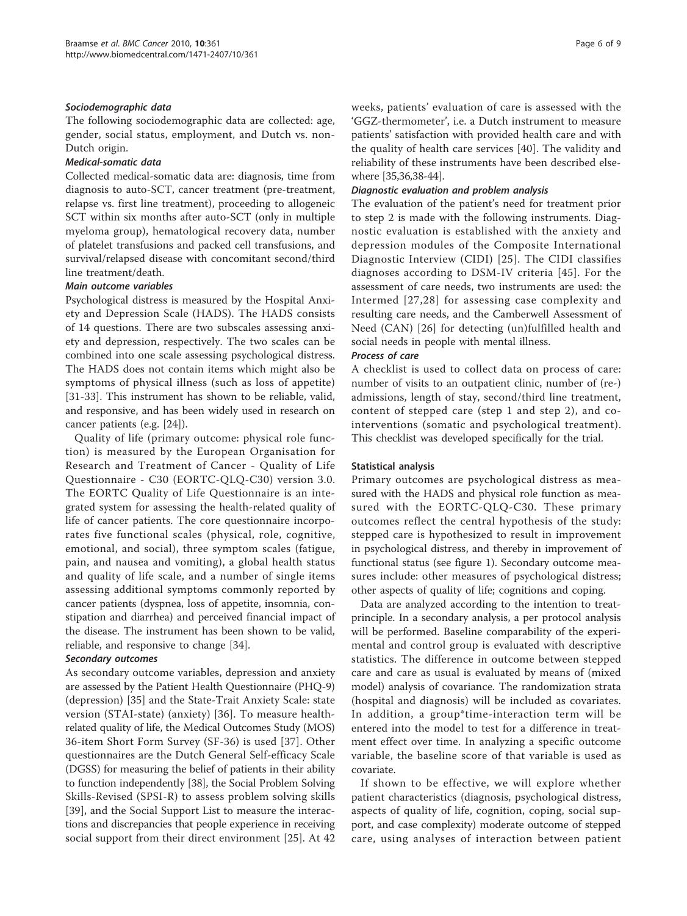#### Sociodemographic data

The following sociodemographic data are collected: age, gender, social status, employment, and Dutch vs. non-Dutch origin.

#### Medical-somatic data

Collected medical-somatic data are: diagnosis, time from diagnosis to auto-SCT, cancer treatment (pre-treatment, relapse vs. first line treatment), proceeding to allogeneic SCT within six months after auto-SCT (only in multiple myeloma group), hematological recovery data, number of platelet transfusions and packed cell transfusions, and survival/relapsed disease with concomitant second/third line treatment/death.

# Main outcome variables

Psychological distress is measured by the Hospital Anxiety and Depression Scale (HADS). The HADS consists of 14 questions. There are two subscales assessing anxiety and depression, respectively. The two scales can be combined into one scale assessing psychological distress. The HADS does not contain items which might also be symptoms of physical illness (such as loss of appetite) [[31-33](#page-8-0)]. This instrument has shown to be reliable, valid, and responsive, and has been widely used in research on cancer patients (e.g. [[24](#page-8-0)]).

Quality of life (primary outcome: physical role function) is measured by the European Organisation for Research and Treatment of Cancer - Quality of Life Questionnaire - C30 (EORTC-QLQ-C30) version 3.0. The EORTC Quality of Life Questionnaire is an integrated system for assessing the health-related quality of life of cancer patients. The core questionnaire incorporates five functional scales (physical, role, cognitive, emotional, and social), three symptom scales (fatigue, pain, and nausea and vomiting), a global health status and quality of life scale, and a number of single items assessing additional symptoms commonly reported by cancer patients (dyspnea, loss of appetite, insomnia, constipation and diarrhea) and perceived financial impact of the disease. The instrument has been shown to be valid, reliable, and responsive to change [[34\]](#page-8-0).

# Secondary outcomes

As secondary outcome variables, depression and anxiety are assessed by the Patient Health Questionnaire (PHQ-9) (depression) [\[35](#page-8-0)] and the State-Trait Anxiety Scale: state version (STAI-state) (anxiety) [[36](#page-8-0)]. To measure healthrelated quality of life, the Medical Outcomes Study (MOS) 36-item Short Form Survey (SF-36) is used [[37\]](#page-8-0). Other questionnaires are the Dutch General Self-efficacy Scale (DGSS) for measuring the belief of patients in their ability to function independently [[38](#page-8-0)], the Social Problem Solving Skills-Revised (SPSI-R) to assess problem solving skills [[39\]](#page-8-0), and the Social Support List to measure the interactions and discrepancies that people experience in receiving social support from their direct environment [\[25](#page-8-0)]. At 42 weeks, patients' evaluation of care is assessed with the 'GGZ-thermometer', i.e. a Dutch instrument to measure patients' satisfaction with provided health care and with the quality of health care services [[40\]](#page-8-0). The validity and reliability of these instruments have been described elsewhere [[35,36,38](#page-8-0)-[44](#page-8-0)].

#### Diagnostic evaluation and problem analysis

The evaluation of the patient's need for treatment prior to step 2 is made with the following instruments. Diagnostic evaluation is established with the anxiety and depression modules of the Composite International Diagnostic Interview (CIDI) [[25](#page-8-0)]. The CIDI classifies diagnoses according to DSM-IV criteria [[45](#page-8-0)]. For the assessment of care needs, two instruments are used: the Intermed [[27](#page-8-0),[28\]](#page-8-0) for assessing case complexity and resulting care needs, and the Camberwell Assessment of Need (CAN) [\[26](#page-8-0)] for detecting (un)fulfilled health and social needs in people with mental illness.

# Process of care

A checklist is used to collect data on process of care: number of visits to an outpatient clinic, number of (re-) admissions, length of stay, second/third line treatment, content of stepped care (step 1 and step 2), and cointerventions (somatic and psychological treatment). This checklist was developed specifically for the trial.

# Statistical analysis

Primary outcomes are psychological distress as measured with the HADS and physical role function as measured with the EORTC-QLQ-C30. These primary outcomes reflect the central hypothesis of the study: stepped care is hypothesized to result in improvement in psychological distress, and thereby in improvement of functional status (see figure [1\)](#page-2-0). Secondary outcome measures include: other measures of psychological distress; other aspects of quality of life; cognitions and coping.

Data are analyzed according to the intention to treatprinciple. In a secondary analysis, a per protocol analysis will be performed. Baseline comparability of the experimental and control group is evaluated with descriptive statistics. The difference in outcome between stepped care and care as usual is evaluated by means of (mixed model) analysis of covariance. The randomization strata (hospital and diagnosis) will be included as covariates. In addition, a group\*time-interaction term will be entered into the model to test for a difference in treatment effect over time. In analyzing a specific outcome variable, the baseline score of that variable is used as covariate.

If shown to be effective, we will explore whether patient characteristics (diagnosis, psychological distress, aspects of quality of life, cognition, coping, social support, and case complexity) moderate outcome of stepped care, using analyses of interaction between patient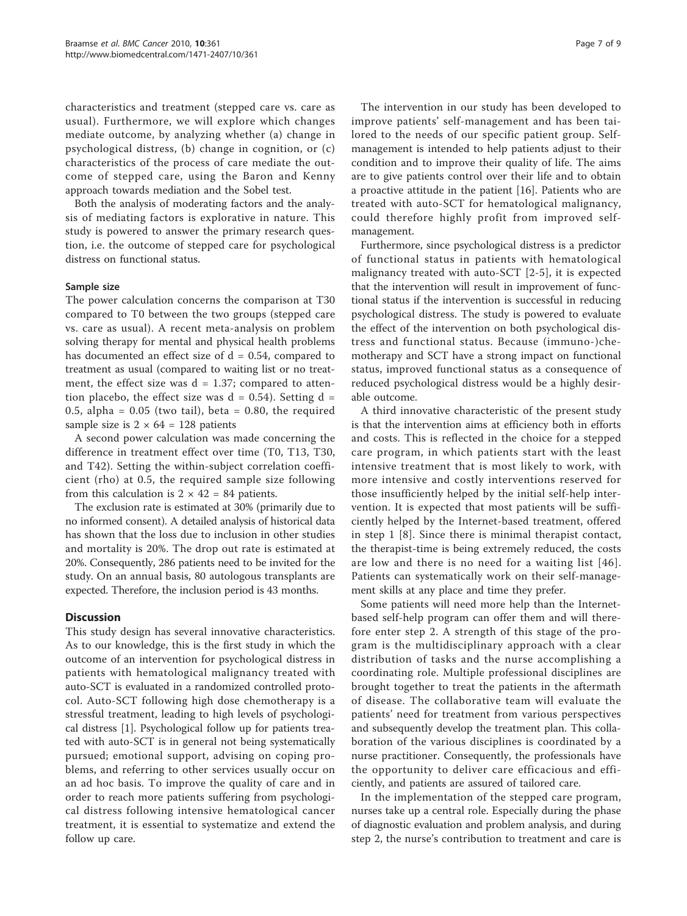characteristics and treatment (stepped care vs. care as usual). Furthermore, we will explore which changes mediate outcome, by analyzing whether (a) change in psychological distress, (b) change in cognition, or (c) characteristics of the process of care mediate the outcome of stepped care, using the Baron and Kenny approach towards mediation and the Sobel test.

Both the analysis of moderating factors and the analysis of mediating factors is explorative in nature. This study is powered to answer the primary research question, i.e. the outcome of stepped care for psychological distress on functional status.

#### Sample size

The power calculation concerns the comparison at T30 compared to T0 between the two groups (stepped care vs. care as usual). A recent meta-analysis on problem solving therapy for mental and physical health problems has documented an effect size of  $d = 0.54$ , compared to treatment as usual (compared to waiting list or no treatment, the effect size was  $d = 1.37$ ; compared to attention placebo, the effect size was  $d = 0.54$ ). Setting  $d =$ 0.5, alpha =  $0.05$  (two tail), beta = 0.80, the required sample size is  $2 \times 64 = 128$  patients

A second power calculation was made concerning the difference in treatment effect over time (T0, T13, T30, and T42). Setting the within-subject correlation coefficient (rho) at 0.5, the required sample size following from this calculation is  $2 \times 42 = 84$  patients.

The exclusion rate is estimated at 30% (primarily due to no informed consent). A detailed analysis of historical data has shown that the loss due to inclusion in other studies and mortality is 20%. The drop out rate is estimated at 20%. Consequently, 286 patients need to be invited for the study. On an annual basis, 80 autologous transplants are expected. Therefore, the inclusion period is 43 months.

# **Discussion**

This study design has several innovative characteristics. As to our knowledge, this is the first study in which the outcome of an intervention for psychological distress in patients with hematological malignancy treated with auto-SCT is evaluated in a randomized controlled protocol. Auto-SCT following high dose chemotherapy is a stressful treatment, leading to high levels of psychological distress [[1\]](#page-7-0). Psychological follow up for patients treated with auto-SCT is in general not being systematically pursued; emotional support, advising on coping problems, and referring to other services usually occur on an ad hoc basis. To improve the quality of care and in order to reach more patients suffering from psychological distress following intensive hematological cancer treatment, it is essential to systematize and extend the follow up care.

The intervention in our study has been developed to improve patients' self-management and has been tailored to the needs of our specific patient group. Selfmanagement is intended to help patients adjust to their condition and to improve their quality of life. The aims are to give patients control over their life and to obtain a proactive attitude in the patient [[16\]](#page-7-0). Patients who are treated with auto-SCT for hematological malignancy, could therefore highly profit from improved selfmanagement.

Furthermore, since psychological distress is a predictor of functional status in patients with hematological malignancy treated with auto-SCT [[2-5\]](#page-7-0), it is expected that the intervention will result in improvement of functional status if the intervention is successful in reducing psychological distress. The study is powered to evaluate the effect of the intervention on both psychological distress and functional status. Because (immuno-)chemotherapy and SCT have a strong impact on functional status, improved functional status as a consequence of reduced psychological distress would be a highly desirable outcome.

A third innovative characteristic of the present study is that the intervention aims at efficiency both in efforts and costs. This is reflected in the choice for a stepped care program, in which patients start with the least intensive treatment that is most likely to work, with more intensive and costly interventions reserved for those insufficiently helped by the initial self-help intervention. It is expected that most patients will be sufficiently helped by the Internet-based treatment, offered in step 1 [\[8](#page-7-0)]. Since there is minimal therapist contact, the therapist-time is being extremely reduced, the costs are low and there is no need for a waiting list [[46\]](#page-8-0). Patients can systematically work on their self-management skills at any place and time they prefer.

Some patients will need more help than the Internetbased self-help program can offer them and will therefore enter step 2. A strength of this stage of the program is the multidisciplinary approach with a clear distribution of tasks and the nurse accomplishing a coordinating role. Multiple professional disciplines are brought together to treat the patients in the aftermath of disease. The collaborative team will evaluate the patients' need for treatment from various perspectives and subsequently develop the treatment plan. This collaboration of the various disciplines is coordinated by a nurse practitioner. Consequently, the professionals have the opportunity to deliver care efficacious and efficiently, and patients are assured of tailored care.

In the implementation of the stepped care program, nurses take up a central role. Especially during the phase of diagnostic evaluation and problem analysis, and during step 2, the nurse's contribution to treatment and care is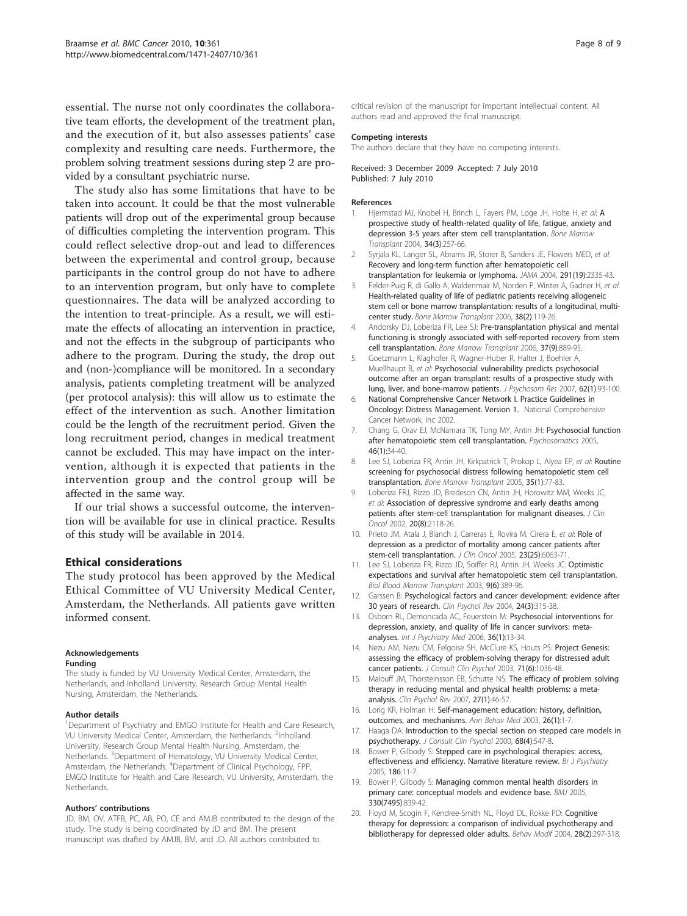<span id="page-7-0"></span>essential. The nurse not only coordinates the collaborative team efforts, the development of the treatment plan, and the execution of it, but also assesses patients' case complexity and resulting care needs. Furthermore, the problem solving treatment sessions during step 2 are provided by a consultant psychiatric nurse.

The study also has some limitations that have to be taken into account. It could be that the most vulnerable patients will drop out of the experimental group because of difficulties completing the intervention program. This could reflect selective drop-out and lead to differences between the experimental and control group, because participants in the control group do not have to adhere to an intervention program, but only have to complete questionnaires. The data will be analyzed according to the intention to treat-principle. As a result, we will estimate the effects of allocating an intervention in practice, and not the effects in the subgroup of participants who adhere to the program. During the study, the drop out and (non-)compliance will be monitored. In a secondary analysis, patients completing treatment will be analyzed (per protocol analysis): this will allow us to estimate the effect of the intervention as such. Another limitation could be the length of the recruitment period. Given the long recruitment period, changes in medical treatment cannot be excluded. This may have impact on the intervention, although it is expected that patients in the intervention group and the control group will be affected in the same way.

If our trial shows a successful outcome, the intervention will be available for use in clinical practice. Results of this study will be available in 2014.

#### Ethical considerations

The study protocol has been approved by the Medical Ethical Committee of VU University Medical Center, Amsterdam, the Netherlands. All patients gave written informed consent.

#### Acknowledgements

#### Funding

The study is funded by VU University Medical Center, Amsterdam, the Netherlands, and Inholland University, Research Group Mental Health Nursing, Amsterdam, the Netherlands.

#### Author details

<sup>1</sup>Department of Psychiatry and EMGO Institute for Health and Care Research, VU University Medical Center, Amsterdam, the Netherlands. <sup>2</sup>Inholland University, Research Group Mental Health Nursing, Amsterdam, the Netherlands. <sup>3</sup>Department of Hematology, VU University Medical Center, Amsterdam, the Netherlands. <sup>4</sup>Department of Clinical Psychology, FPP, EMGO Institute for Health and Care Research, VU University, Amsterdam, the Netherlands.

#### Authors' contributions

JD, BM, OV, ATFB, PC, AB, PO, CE and AMJB contributed to the design of the study. The study is being coordinated by JD and BM. The present manuscript was drafted by AMJB, BM, and JD. All authors contributed to

critical revision of the manuscript for important intellectual content. All authors read and approved the final manuscript.

#### Competing interests

The authors declare that they have no competing interests.

Received: 3 December 2009 Accepted: 7 July 2010 Published: 7 July 2010

#### References

- 1. Hjermstad MJ, Knobel H, Brinch L, Fayers PM, Loge JH, Holte H, et al: [A](http://www.ncbi.nlm.nih.gov/pubmed/15170167?dopt=Abstract) [prospective study of health-related quality of life, fatigue, anxiety and](http://www.ncbi.nlm.nih.gov/pubmed/15170167?dopt=Abstract) [depression 3-5 years after stem cell transplantation.](http://www.ncbi.nlm.nih.gov/pubmed/15170167?dopt=Abstract) Bone Marrow Transplant 2004, 34(3):257-66.
- 2. Syrjala KL, Langer SL, Abrams JR, Storer B, Sanders JE, Flowers MED, et al: [Recovery and long-term function after hematopoietic cell](http://www.ncbi.nlm.nih.gov/pubmed/15150205?dopt=Abstract) [transplantation for leukemia or lymphoma.](http://www.ncbi.nlm.nih.gov/pubmed/15150205?dopt=Abstract) JAMA 2004, 291(19):2335-43.
- 3. Felder-Puig R, di Gallo A, Waldenmair M, Norden P, Winter A, Gadner H, et al: [Health-related quality of life of pediatric patients receiving allogeneic](http://www.ncbi.nlm.nih.gov/pubmed/16820782?dopt=Abstract) [stem cell or bone marrow transplantation: results of a longitudinal, multi](http://www.ncbi.nlm.nih.gov/pubmed/16820782?dopt=Abstract)[center study.](http://www.ncbi.nlm.nih.gov/pubmed/16820782?dopt=Abstract) Bone Marrow Transplant 2006, 38(2):119-26.
- 4. Andorsky DJ, Loberiza FR, Lee SJ: [Pre-transplantation physical and mental](http://www.ncbi.nlm.nih.gov/pubmed/16532014?dopt=Abstract) [functioning is strongly associated with self-reported recovery from stem](http://www.ncbi.nlm.nih.gov/pubmed/16532014?dopt=Abstract) [cell transplantation.](http://www.ncbi.nlm.nih.gov/pubmed/16532014?dopt=Abstract) Bone Marrow Transplant 2006, 37(9):889-95.
- 5. Goetzmann L, Klaghofer R, Wagner-Huber R, Halter J, Boehler A, Muellhaupt B, et al: [Psychosocial vulnerability predicts psychosocial](http://www.ncbi.nlm.nih.gov/pubmed/17188126?dopt=Abstract) [outcome after an organ transplant: results of a prospective study with](http://www.ncbi.nlm.nih.gov/pubmed/17188126?dopt=Abstract) [lung, liver, and bone-marrow patients.](http://www.ncbi.nlm.nih.gov/pubmed/17188126?dopt=Abstract) J Psychosom Res 2007, 62(1):93-100.
- 6. National Comprehensive Cancer Network I. Practice Guidelines in Oncology: Distress Management. Version 1. National Comprehensive Cancer Network, Inc 2002.
- Chang G, Orav EJ, McNamara TK, Tong MY, Antin JH: [Psychosocial function](http://www.ncbi.nlm.nih.gov/pubmed/15765819?dopt=Abstract) [after hematopoietic stem cell transplantation.](http://www.ncbi.nlm.nih.gov/pubmed/15765819?dopt=Abstract) Psychosomatics 2005, 46(1):34-40.
- 8. Lee SJ, Loberiza FR, Antin JH, Kirkpatrick T, Prokop L, Alyea EP, et al: [Routine](http://www.ncbi.nlm.nih.gov/pubmed/15502851?dopt=Abstract) [screening for psychosocial distress following hematopoietic stem cell](http://www.ncbi.nlm.nih.gov/pubmed/15502851?dopt=Abstract) [transplantation.](http://www.ncbi.nlm.nih.gov/pubmed/15502851?dopt=Abstract) Bone Marrow Transplant 2005, 35(1):77-83.
- 9. Loberiza FRJ, Rizzo JD, Bredeson CN, Antin JH, Horowitz MM, Weeks JC, et al: [Association of depressive syndrome and early deaths among](http://www.ncbi.nlm.nih.gov/pubmed/11956273?dopt=Abstract) [patients after stem-cell transplantation for malignant diseases.](http://www.ncbi.nlm.nih.gov/pubmed/11956273?dopt=Abstract) J Clin Oncol 2002, 20(8):2118-26.
- 10. Prieto JM, Atala J, Blanch J, Carreras E, Rovira M, Cirera E, et al: [Role of](http://www.ncbi.nlm.nih.gov/pubmed/16087949?dopt=Abstract) [depression as a predictor of mortality among cancer patients after](http://www.ncbi.nlm.nih.gov/pubmed/16087949?dopt=Abstract) [stem-cell transplantation.](http://www.ncbi.nlm.nih.gov/pubmed/16087949?dopt=Abstract) J Clin Oncol 2005, 23(25):6063-71
- 11. Lee SJ, Loberiza FR, Rizzo JD, Soiffer RJ, Antin JH, Weeks JC: [Optimistic](http://www.ncbi.nlm.nih.gov/pubmed/12813447?dopt=Abstract) [expectations and survival after hematopoietic stem cell transplantation.](http://www.ncbi.nlm.nih.gov/pubmed/12813447?dopt=Abstract) Biol Blood Marrow Transplant 2003, 9(6):389-96.
- 12. Garssen B: [Psychological factors and cancer development: evidence after](http://www.ncbi.nlm.nih.gov/pubmed/15245834?dopt=Abstract) [30 years of research.](http://www.ncbi.nlm.nih.gov/pubmed/15245834?dopt=Abstract) Clin Psychol Rev 2004, 24(3):315-38.
- 13. Osborn RL, Demoncada AC, Feuerstein M: [Psychosocial interventions for](http://www.ncbi.nlm.nih.gov/pubmed/16927576?dopt=Abstract) [depression, anxiety, and quality of life in cancer survivors: meta](http://www.ncbi.nlm.nih.gov/pubmed/16927576?dopt=Abstract)[analyses.](http://www.ncbi.nlm.nih.gov/pubmed/16927576?dopt=Abstract) Int J Psychiatry Med 2006, 36(1):13-34.
- 14. Nezu AM, Nezu CM, Felgoise SH, McClure KS, Houts PS: [Project Genesis:](http://www.ncbi.nlm.nih.gov/pubmed/14622079?dopt=Abstract) [assessing the efficacy of problem-solving therapy for distressed adult](http://www.ncbi.nlm.nih.gov/pubmed/14622079?dopt=Abstract) [cancer patients.](http://www.ncbi.nlm.nih.gov/pubmed/14622079?dopt=Abstract) J Consult Clin Psychol 2003, 71(6):1036-48.
- 15. Malouff JM, Thorsteinsson EB, Schutte NS: [The efficacy of problem solving](http://www.ncbi.nlm.nih.gov/pubmed/16480801?dopt=Abstract) [therapy in reducing mental and physical health problems: a meta](http://www.ncbi.nlm.nih.gov/pubmed/16480801?dopt=Abstract)[analysis.](http://www.ncbi.nlm.nih.gov/pubmed/16480801?dopt=Abstract) Clin Psychol Rev 2007, 27(1):46-57.
- 16. Lorig KR, Holman H: [Self-management education: history, definition,](http://www.ncbi.nlm.nih.gov/pubmed/12867348?dopt=Abstract) [outcomes, and mechanisms.](http://www.ncbi.nlm.nih.gov/pubmed/12867348?dopt=Abstract) Ann Behav Med 2003, 26(1):1-7
- 17. Haaga DA: [Introduction to the special section on stepped care models in](http://www.ncbi.nlm.nih.gov/pubmed/10965628?dopt=Abstract) [psychotherapy.](http://www.ncbi.nlm.nih.gov/pubmed/10965628?dopt=Abstract) J Consult Clin Psychol 2000, 68(4):547-8.
- 18. Bower P, Gilbody S: [Stepped care in psychological therapies: access,](http://www.ncbi.nlm.nih.gov/pubmed/15630118?dopt=Abstract) [effectiveness and efficiency. Narrative literature review.](http://www.ncbi.nlm.nih.gov/pubmed/15630118?dopt=Abstract) Br J Psychiatry 2005, 186:11-7.
- 19. Bower P, Gilbody S: [Managing common mental health disorders in](http://www.ncbi.nlm.nih.gov/pubmed/15817554?dopt=Abstract) [primary care: conceptual models and evidence base.](http://www.ncbi.nlm.nih.gov/pubmed/15817554?dopt=Abstract) BMJ 2005, 330(7495):839-42.
- 20. Floyd M, Scogin F, Kendree-Smith NL, Floyd DL, Rokke PD: [Cognitive](http://www.ncbi.nlm.nih.gov/pubmed/14997954?dopt=Abstract) [therapy for depression: a comparison of individual psychotherapy and](http://www.ncbi.nlm.nih.gov/pubmed/14997954?dopt=Abstract) [bibliotherapy for depressed older adults.](http://www.ncbi.nlm.nih.gov/pubmed/14997954?dopt=Abstract) Behav Modif 2004, 28(2):297-318.